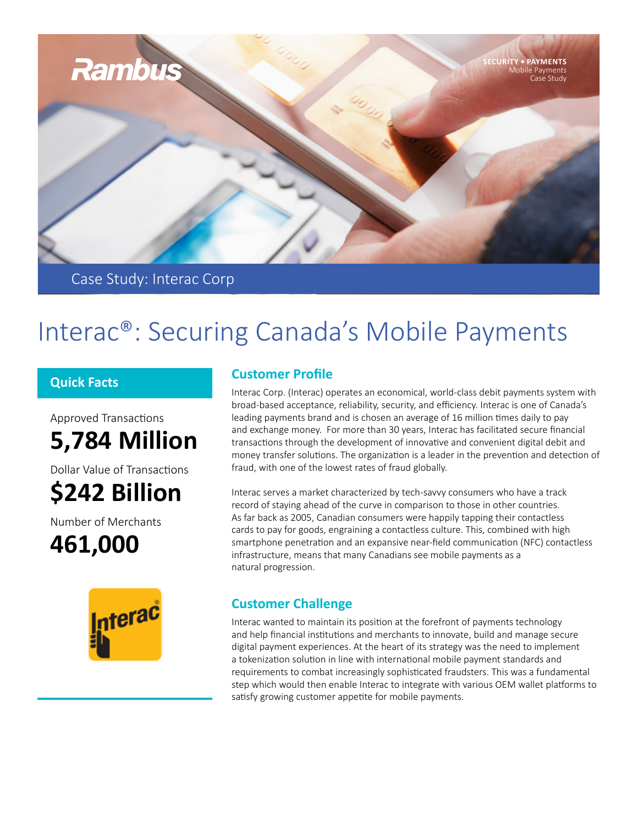

Case Study: Interac Corp

# Interac®: Securing Canada's Mobile Payments

### **Quick Facts**

Approved Transactions **5,784 Million**

Dollar Value of Transactions **\$242 Billion**

Number of Merchants

**461,000**



## **Customer Profile**

Interac Corp. (Interac) operates an economical, world-class debit payments system with broad-based acceptance, reliability, security, and efficiency. Interac is one of Canada's leading payments brand and is chosen an average of 16 million times daily to pay and exchange money. For more than 30 years, Interac has facilitated secure financial transactions through the development of innovative and convenient digital debit and money transfer solutions. The organization is a leader in the prevention and detection of fraud, with one of the lowest rates of fraud globally.

Interac serves a market characterized by tech-savvy consumers who have a track record of staying ahead of the curve in comparison to those in other countries. As far back as 2005, Canadian consumers were happily tapping their contactless cards to pay for goods, engraining a contactless culture. This, combined with high smartphone penetration and an expansive near-field communication (NFC) contactless infrastructure, means that many Canadians see mobile payments as a natural progression.

# **Customer Challenge**

Interac wanted to maintain its position at the forefront of payments technology and help financial institutions and merchants to innovate, build and manage secure digital payment experiences. At the heart of its strategy was the need to implement a tokenization solution in line with international mobile payment standards and requirements to combat increasingly sophisticated fraudsters. This was a fundamental step which would then enable Interac to integrate with various OEM wallet platforms to satisfy growing customer appetite for mobile payments.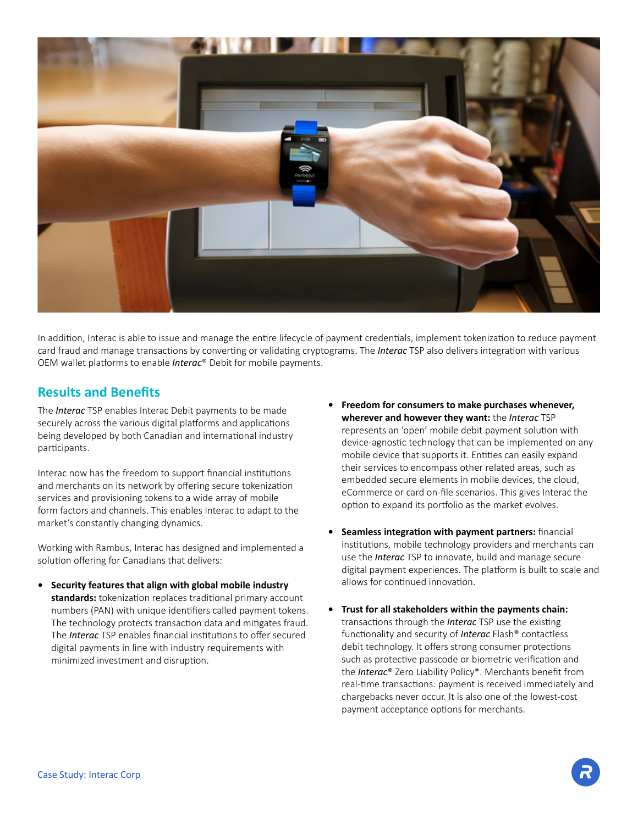

In addition, Interac is able to issue and manage the entire lifecycle of payment credentials, implement tokenization to reduce payment card fraud and manage transactions by converting or validating cryptograms. The *Interac* TSP also delivers integration with various OEM wallet platforms to enable *Interac*® Debit for mobile payments.

#### **Results and Benefits**

The *Interac* TSP enables Interac Debit payments to be made securely across the various digital platforms and applications being developed by both Canadian and international industry participants.

Interac now has the freedom to support financial institutions and merchants on its network by offering secure tokenization services and provisioning tokens to a wide array of mobile form factors and channels. This enables Interac to adapt to the market's constantly changing dynamics.

Working with Rambus, Interac has designed and implemented a solution offering for Canadians that delivers:

- **• Security features that align with global mobile industry standards:** tokenization replaces traditional primary account numbers (PAN) with unique identifiers called payment tokens. The technology protects transaction data and mitigates fraud. The *Interac* TSP enables financial institutions to offer secured digital payments in line with industry requirements with minimized investment and disruption.
- **• Freedom for consumers to make purchases whenever, wherever and however they want:** the *Interac* TSP represents an 'open' mobile debit payment solution with device-agnostic technology that can be implemented on any mobile device that supports it. Entities can easily expand their services to encompass other related areas, such as embedded secure elements in mobile devices, the cloud, eCommerce or card on-file scenarios. This gives Interac the option to expand its portfolio as the market evolves.
- **• Seamless integration with payment partners:** financial institutions, mobile technology providers and merchants can use the *Interac* TSP to innovate, build and manage secure digital payment experiences. The platform is built to scale and allows for continued innovation.
- **• Trust for all stakeholders within the payments chain:** transactions through the *Interac* TSP use the existing functionality and security of *Interac* Flash® contactless debit technology. It offers strong consumer protections such as protective passcode or biometric verification and the *Interac*® Zero Liability Policy\*. Merchants benefit from real-time transactions: payment is received immediately and chargebacks never occur. It is also one of the lowest-cost payment acceptance options for merchants.